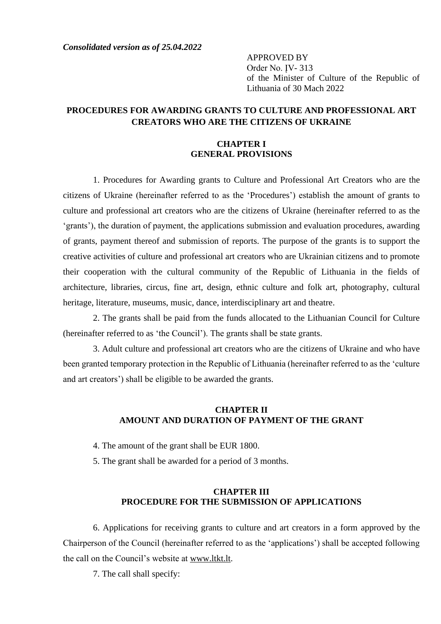*Consolidated version as of 25.04.2022*

APPROVED BY Order No. ĮV- 313 of the Minister of Culture of the Republic of Lithuania of 30 Mach 2022

# **PROCEDURES FOR AWARDING GRANTS TO CULTURE AND PROFESSIONAL ART CREATORS WHO ARE THE CITIZENS OF UKRAINE**

### **CHAPTER I GENERAL PROVISIONS**

1. Procedures for Awarding grants to Culture and Professional Art Creators who are the citizens of Ukraine (hereinafter referred to as the 'Procedures') establish the amount of grants to culture and professional art creators who are the citizens of Ukraine (hereinafter referred to as the 'grants'), the duration of payment, the applications submission and evaluation procedures, awarding of grants, payment thereof and submission of reports. The purpose of the grants is to support the creative activities of culture and professional art creators who are Ukrainian citizens and to promote their cooperation with the cultural community of the Republic of Lithuania in the fields of architecture, libraries, circus, fine art, design, ethnic culture and folk art, photography, cultural heritage, literature, museums, music, dance, interdisciplinary art and theatre.

2. The grants shall be paid from the funds allocated to the Lithuanian Council for Culture (hereinafter referred to as 'the Council'). The grants shall be state grants.

3. Adult culture and professional art creators who are the citizens of Ukraine and who have been granted temporary protection in the Republic of Lithuania (hereinafter referred to as the 'culture and art creators') shall be eligible to be awarded the grants.

## **CHAPTER II AMOUNT AND DURATION OF PAYMENT OF THE GRANT**

- 4. The amount of the grant shall be EUR 1800.
- 5. The grant shall be awarded for a period of 3 months.

## **CHAPTER III PROCEDURE FOR THE SUBMISSION OF APPLICATIONS**

6. Applications for receiving grants to culture and art creators in a form approved by the Chairperson of the Council (hereinafter referred to as the 'applications') shall be accepted following the call on the Council's website at www.ltkt.lt.

7. The call shall specify: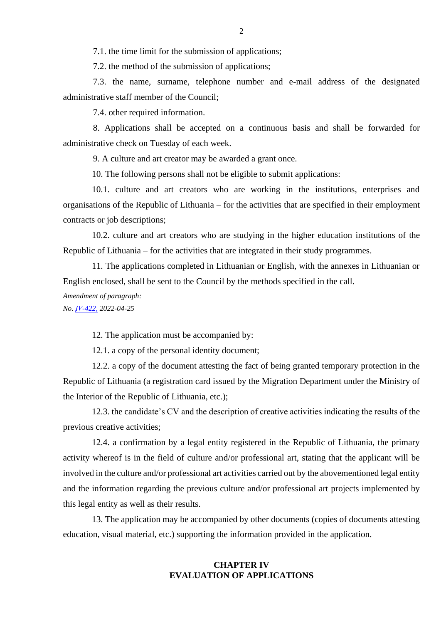7.1. the time limit for the submission of applications;

7.2. the method of the submission of applications;

7.3. the name, surname, telephone number and e-mail address of the designated administrative staff member of the Council;

7.4. other required information.

8. Applications shall be accepted on a continuous basis and shall be forwarded for administrative check on Tuesday of each week.

9. A culture and art creator may be awarded a grant once.

10. The following persons shall not be eligible to submit applications:

10.1. culture and art creators who are working in the institutions, enterprises and organisations of the Republic of Lithuania – for the activities that are specified in their employment contracts or job descriptions;

10.2. culture and art creators who are studying in the higher education institutions of the Republic of Lithuania – for the activities that are integrated in their study programmes.

11. The applications completed in Lithuanian or English, with the annexes in Lithuanian or English enclosed, shall be sent to the Council by the methods specified in the call.

*Amendment of paragraph:*

*No[. ĮV-422,](https://www.e-tar.lt/portal/lt/legalAct/d47508e0c46a11ec8d9390588bf2de65) 2022-04-25*

12. The application must be accompanied by:

12.1. a copy of the personal identity document;

12.2. a copy of the document attesting the fact of being granted temporary protection in the Republic of Lithuania (a registration card issued by the Migration Department under the Ministry of the Interior of the Republic of Lithuania, etc.);

12.3. the candidate's CV and the description of creative activities indicating the results of the previous creative activities;

12.4. a confirmation by a legal entity registered in the Republic of Lithuania, the primary activity whereof is in the field of culture and/or professional art, stating that the applicant will be involved in the culture and/or professional art activities carried out by the abovementioned legal entity and the information regarding the previous culture and/or professional art projects implemented by this legal entity as well as their results.

13. The application may be accompanied by other documents (copies of documents attesting education, visual material, etc.) supporting the information provided in the application.

## **CHAPTER IV EVALUATION OF APPLICATIONS**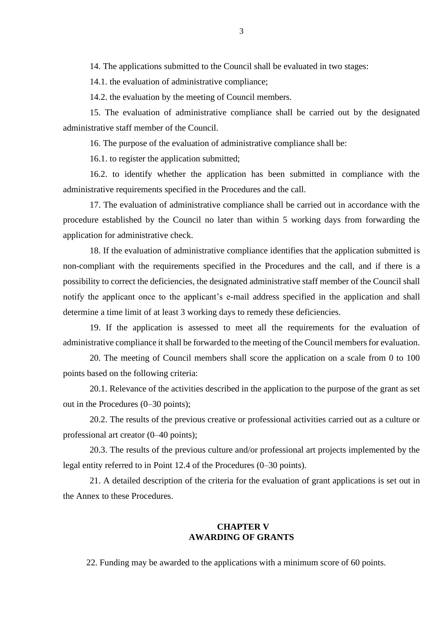14. The applications submitted to the Council shall be evaluated in two stages:

14.1. the evaluation of administrative compliance;

14.2. the evaluation by the meeting of Council members.

15. The evaluation of administrative compliance shall be carried out by the designated administrative staff member of the Council.

16. The purpose of the evaluation of administrative compliance shall be:

16.1. to register the application submitted;

16.2. to identify whether the application has been submitted in compliance with the administrative requirements specified in the Procedures and the call.

17. The evaluation of administrative compliance shall be carried out in accordance with the procedure established by the Council no later than within 5 working days from forwarding the application for administrative check.

18. If the evaluation of administrative compliance identifies that the application submitted is non-compliant with the requirements specified in the Procedures and the call, and if there is a possibility to correct the deficiencies, the designated administrative staff member of the Council shall notify the applicant once to the applicant's e-mail address specified in the application and shall determine a time limit of at least 3 working days to remedy these deficiencies.

19. If the application is assessed to meet all the requirements for the evaluation of administrative compliance it shall be forwarded to the meeting of the Council members for evaluation.

20. The meeting of Council members shall score the application on a scale from 0 to 100 points based on the following criteria:

20.1. Relevance of the activities described in the application to the purpose of the grant as set out in the Procedures (0–30 points);

20.2. The results of the previous creative or professional activities carried out as a culture or professional art creator (0–40 points);

20.3. The results of the previous culture and/or professional art projects implemented by the legal entity referred to in Point 12.4 of the Procedures (0–30 points).

21. A detailed description of the criteria for the evaluation of grant applications is set out in the Annex to these Procedures.

### **CHAPTER V AWARDING OF GRANTS**

22. Funding may be awarded to the applications with a minimum score of 60 points.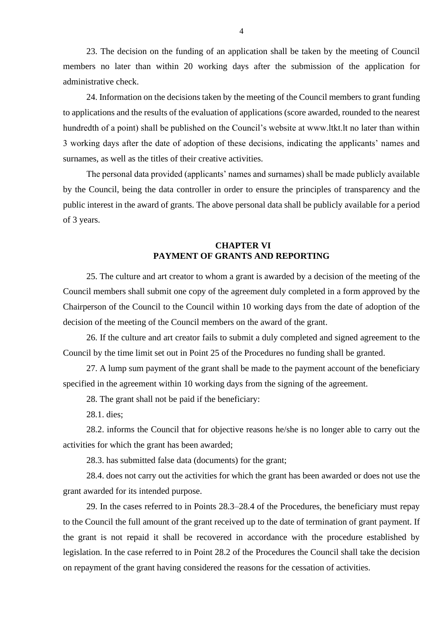23. The decision on the funding of an application shall be taken by the meeting of Council members no later than within 20 working days after the submission of the application for administrative check.

24. Information on the decisions taken by the meeting of the Council members to grant funding to applications and the results of the evaluation of applications (score awarded, rounded to the nearest hundredth of a point) shall be published on the Council's website at www.ltkt.lt no later than within 3 working days after the date of adoption of these decisions, indicating the applicants' names and surnames, as well as the titles of their creative activities.

The personal data provided (applicants' names and surnames) shall be made publicly available by the Council, being the data controller in order to ensure the principles of transparency and the public interest in the award of grants. The above personal data shall be publicly available for a period of 3 years.

#### **CHAPTER VI PAYMENT OF GRANTS AND REPORTING**

25. The culture and art creator to whom a grant is awarded by a decision of the meeting of the Council members shall submit one copy of the agreement duly completed in a form approved by the Chairperson of the Council to the Council within 10 working days from the date of adoption of the decision of the meeting of the Council members on the award of the grant.

26. If the culture and art creator fails to submit a duly completed and signed agreement to the Council by the time limit set out in Point 25 of the Procedures no funding shall be granted.

27. A lump sum payment of the grant shall be made to the payment account of the beneficiary specified in the agreement within 10 working days from the signing of the agreement.

28. The grant shall not be paid if the beneficiary:

28.1. dies;

28.2. informs the Council that for objective reasons he/she is no longer able to carry out the activities for which the grant has been awarded;

28.3. has submitted false data (documents) for the grant;

28.4. does not carry out the activities for which the grant has been awarded or does not use the grant awarded for its intended purpose.

29. In the cases referred to in Points 28.3–28.4 of the Procedures, the beneficiary must repay to the Council the full amount of the grant received up to the date of termination of grant payment. If the grant is not repaid it shall be recovered in accordance with the procedure established by legislation. In the case referred to in Point 28.2 of the Procedures the Council shall take the decision on repayment of the grant having considered the reasons for the cessation of activities.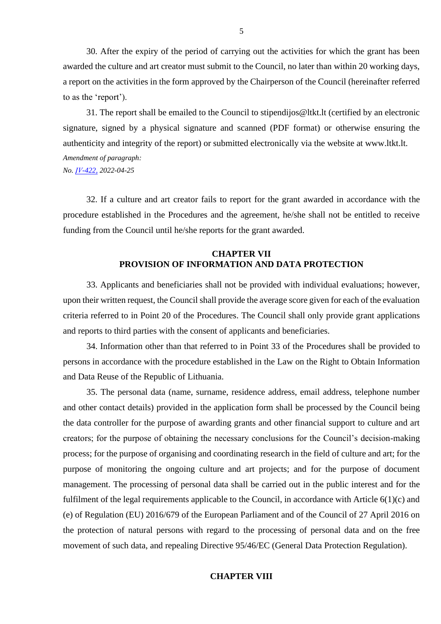30. After the expiry of the period of carrying out the activities for which the grant has been awarded the culture and art creator must submit to the Council, no later than within 20 working days, a report on the activities in the form approved by the Chairperson of the Council (hereinafter referred to as the 'report').

31. The report shall be emailed to the Council to stipendijos@ltkt.lt (certified by an electronic signature, signed by a physical signature and scanned (PDF format) or otherwise ensuring the authenticity and integrity of the report) or submitted electronically via the website at www.ltkt.lt. *Amendment of paragraph: No[. ĮV-422,](https://www.e-tar.lt/portal/lt/legalAct/d47508e0c46a11ec8d9390588bf2de65) 2022-04-25*

32. If a culture and art creator fails to report for the grant awarded in accordance with the procedure established in the Procedures and the agreement, he/she shall not be entitled to receive funding from the Council until he/she reports for the grant awarded.

## **CHAPTER VII PROVISION OF INFORMATION AND DATA PROTECTION**

33. Applicants and beneficiaries shall not be provided with individual evaluations; however, upon their written request, the Council shall provide the average score given for each of the evaluation criteria referred to in Point 20 of the Procedures. The Council shall only provide grant applications and reports to third parties with the consent of applicants and beneficiaries.

34. Information other than that referred to in Point 33 of the Procedures shall be provided to persons in accordance with the procedure established in the Law on the Right to Obtain Information and Data Reuse of the Republic of Lithuania.

35. The personal data (name, surname, residence address, email address, telephone number and other contact details) provided in the application form shall be processed by the Council being the data controller for the purpose of awarding grants and other financial support to culture and art creators; for the purpose of obtaining the necessary conclusions for the Council's decision-making process; for the purpose of organising and coordinating research in the field of culture and art; for the purpose of monitoring the ongoing culture and art projects; and for the purpose of document management. The processing of personal data shall be carried out in the public interest and for the fulfilment of the legal requirements applicable to the Council, in accordance with Article 6(1)(c) and (e) of Regulation (EU) 2016/679 of the European Parliament and of the Council of 27 April 2016 on the protection of natural persons with regard to the processing of personal data and on the free movement of such data, and repealing Directive 95/46/EC (General Data Protection Regulation).

### **CHAPTER VIII**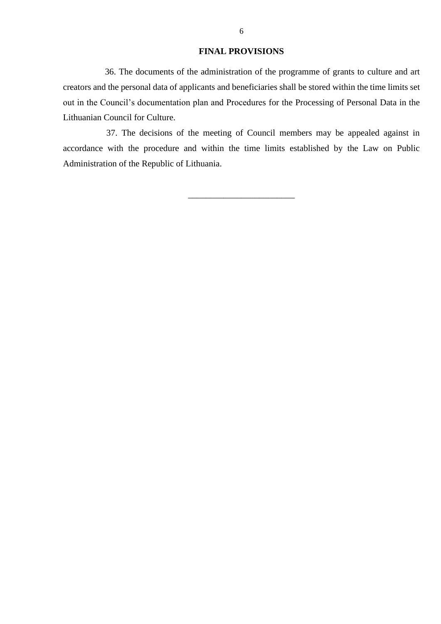#### **FINAL PROVISIONS**

36. The documents of the administration of the programme of grants to culture and art creators and the personal data of applicants and beneficiaries shall be stored within the time limits set out in the Council's documentation plan and Procedures for the Processing of Personal Data in the Lithuanian Council for Culture.

37. The decisions of the meeting of Council members may be appealed against in accordance with the procedure and within the time limits established by the Law on Public Administration of the Republic of Lithuania.

\_\_\_\_\_\_\_\_\_\_\_\_\_\_\_\_\_\_\_\_\_\_\_\_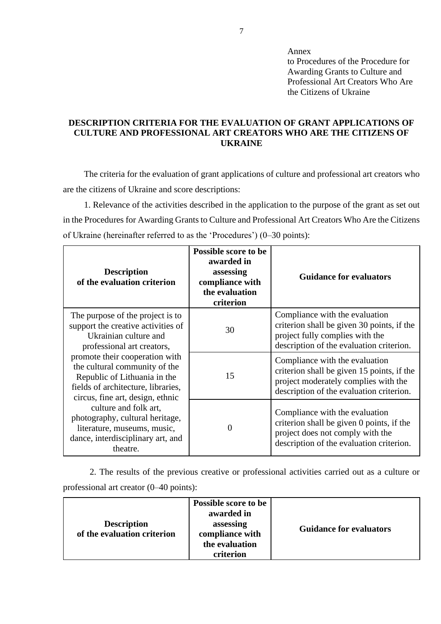Annex

to Procedures of the Procedure for Awarding Grants to Culture and Professional Art Creators Who Are the Citizens of Ukraine

## **DESCRIPTION CRITERIA FOR THE EVALUATION OF GRANT APPLICATIONS OF CULTURE AND PROFESSIONAL ART CREATORS WHO ARE THE CITIZENS OF UKRAINE**

The criteria for the evaluation of grant applications of culture and professional art creators who are the citizens of Ukraine and score descriptions:

1. Relevance of the activities described in the application to the purpose of the grant as set out in the Procedures for Awarding Grants to Culture and Professional Art Creators Who Are the Citizens of Ukraine (hereinafter referred to as the 'Procedures') (0–30 points):

| <b>Description</b><br>of the evaluation criterion                                                                                                                         | <b>Possible score to be</b><br>awarded in<br>assessing<br>compliance with<br>the evaluation<br>criterion | <b>Guidance for evaluators</b>                                                                                                                                   |
|---------------------------------------------------------------------------------------------------------------------------------------------------------------------------|----------------------------------------------------------------------------------------------------------|------------------------------------------------------------------------------------------------------------------------------------------------------------------|
| The purpose of the project is to<br>support the creative activities of<br>Ukrainian culture and<br>professional art creators,                                             | 30                                                                                                       | Compliance with the evaluation<br>criterion shall be given 30 points, if the<br>project fully complies with the<br>description of the evaluation criterion.      |
| promote their cooperation with<br>the cultural community of the<br>Republic of Lithuania in the<br>fields of architecture, libraries,<br>circus, fine art, design, ethnic | 15                                                                                                       | Compliance with the evaluation<br>criterion shall be given 15 points, if the<br>project moderately complies with the<br>description of the evaluation criterion. |
| culture and folk art,<br>photography, cultural heritage,<br>literature, museums, music,<br>dance, interdisciplinary art, and<br>theatre.                                  | $\Omega$                                                                                                 | Compliance with the evaluation<br>criterion shall be given 0 points, if the<br>project does not comply with the<br>description of the evaluation criterion.      |

2. The results of the previous creative or professional activities carried out as a culture or professional art creator (0–40 points):

| <b>Description</b><br>of the evaluation criterion | <b>Possible score to be</b><br>awarded in<br>assessing<br>compliance with<br>the evaluation<br>criterion | <b>Guidance for evaluators</b> |
|---------------------------------------------------|----------------------------------------------------------------------------------------------------------|--------------------------------|
|---------------------------------------------------|----------------------------------------------------------------------------------------------------------|--------------------------------|